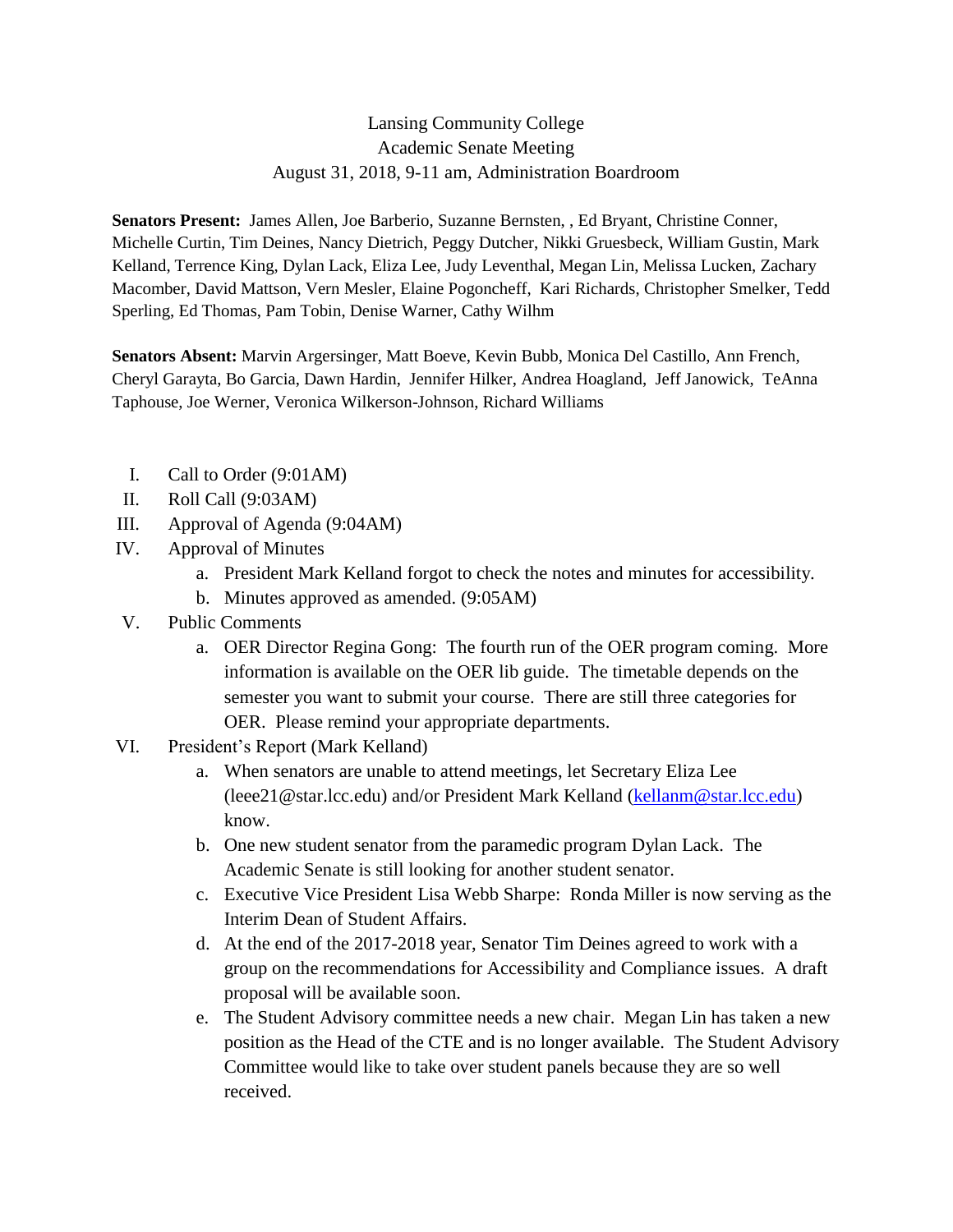## Lansing Community College Academic Senate Meeting August 31, 2018, 9-11 am, Administration Boardroom

**Senators Present:** James Allen, Joe Barberio, Suzanne Bernsten, , Ed Bryant, Christine Conner, Michelle Curtin, Tim Deines, Nancy Dietrich, Peggy Dutcher, Nikki Gruesbeck, William Gustin, Mark Kelland, Terrence King, Dylan Lack, Eliza Lee, Judy Leventhal, Megan Lin, Melissa Lucken, Zachary Macomber, David Mattson, Vern Mesler, Elaine Pogoncheff, Kari Richards, Christopher Smelker, Tedd Sperling, Ed Thomas, Pam Tobin, Denise Warner, Cathy Wilhm

**Senators Absent:** Marvin Argersinger, Matt Boeve, Kevin Bubb, Monica Del Castillo, Ann French, Cheryl Garayta, Bo Garcia, Dawn Hardin, Jennifer Hilker, Andrea Hoagland, Jeff Janowick, TeAnna Taphouse, Joe Werner, Veronica Wilkerson-Johnson, Richard Williams

- I. Call to Order (9:01AM)
- II. Roll Call (9:03AM)
- III. Approval of Agenda (9:04AM)
- IV. Approval of Minutes
	- a. President Mark Kelland forgot to check the notes and minutes for accessibility.
	- b. Minutes approved as amended. (9:05AM)
- V. Public Comments
	- a. OER Director Regina Gong: The fourth run of the OER program coming. More information is available on the OER lib guide. The timetable depends on the semester you want to submit your course. There are still three categories for OER. Please remind your appropriate departments.
- VI. President's Report (Mark Kelland)
	- a. When senators are unable to attend meetings, let Secretary Eliza Lee (leee21@star.lcc.edu) and/or President Mark Kelland [\(kellanm@star.lcc.edu\)](mailto:kellanm@star.lcc.edu) know.
	- b. One new student senator from the paramedic program Dylan Lack. The Academic Senate is still looking for another student senator.
	- c. Executive Vice President Lisa Webb Sharpe: Ronda Miller is now serving as the Interim Dean of Student Affairs.
	- d. At the end of the 2017-2018 year, Senator Tim Deines agreed to work with a group on the recommendations for Accessibility and Compliance issues. A draft proposal will be available soon.
	- e. The Student Advisory committee needs a new chair. Megan Lin has taken a new position as the Head of the CTE and is no longer available. The Student Advisory Committee would like to take over student panels because they are so well received.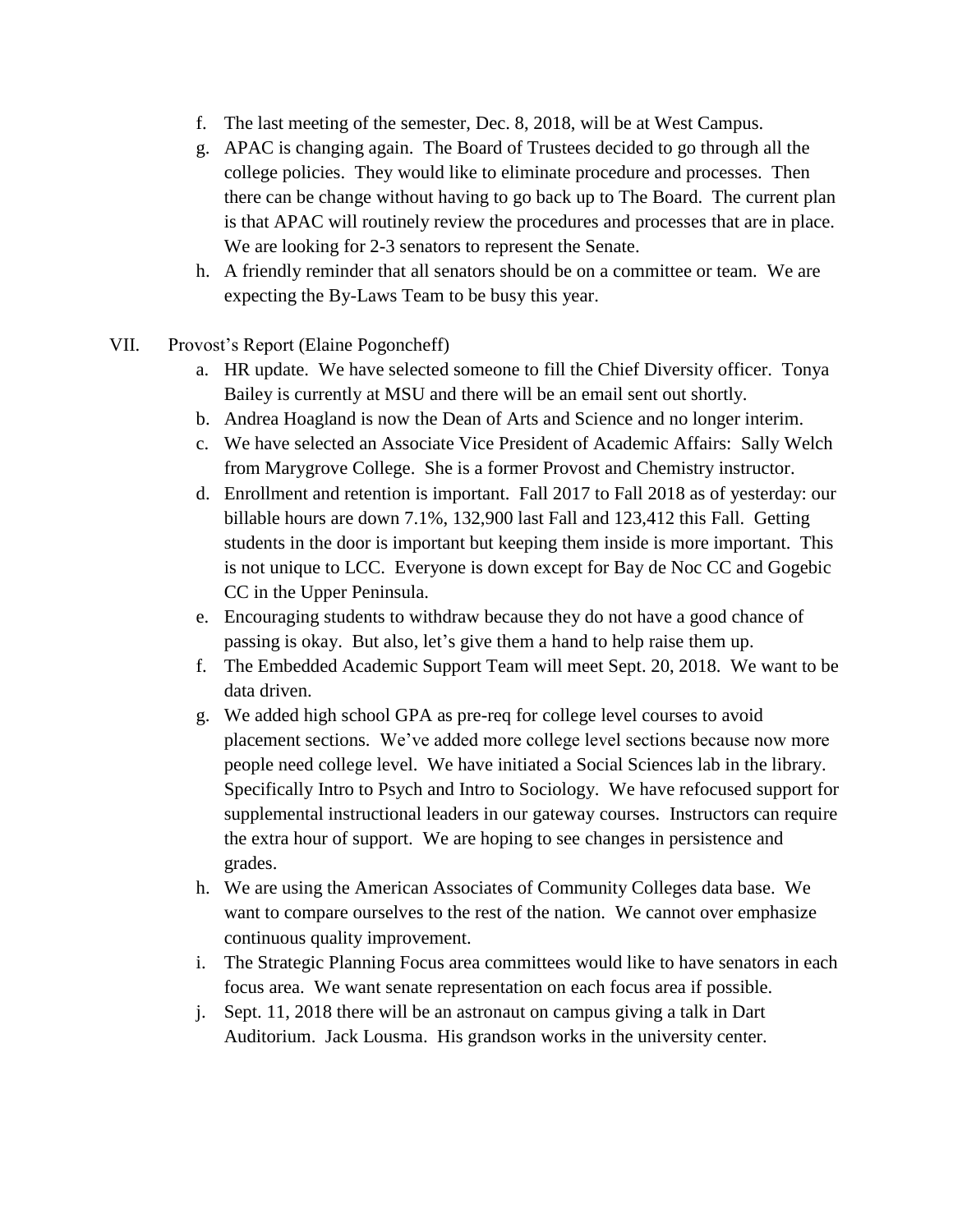- f. The last meeting of the semester, Dec. 8, 2018, will be at West Campus.
- g. APAC is changing again. The Board of Trustees decided to go through all the college policies. They would like to eliminate procedure and processes. Then there can be change without having to go back up to The Board. The current plan is that APAC will routinely review the procedures and processes that are in place. We are looking for 2-3 senators to represent the Senate.
- h. A friendly reminder that all senators should be on a committee or team. We are expecting the By-Laws Team to be busy this year.
- VII. Provost's Report (Elaine Pogoncheff)
	- a. HR update. We have selected someone to fill the Chief Diversity officer. Tonya Bailey is currently at MSU and there will be an email sent out shortly.
	- b. Andrea Hoagland is now the Dean of Arts and Science and no longer interim.
	- c. We have selected an Associate Vice President of Academic Affairs: Sally Welch from Marygrove College. She is a former Provost and Chemistry instructor.
	- d. Enrollment and retention is important. Fall 2017 to Fall 2018 as of yesterday: our billable hours are down 7.1%, 132,900 last Fall and 123,412 this Fall. Getting students in the door is important but keeping them inside is more important. This is not unique to LCC. Everyone is down except for Bay de Noc CC and Gogebic CC in the Upper Peninsula.
	- e. Encouraging students to withdraw because they do not have a good chance of passing is okay. But also, let's give them a hand to help raise them up.
	- f. The Embedded Academic Support Team will meet Sept. 20, 2018. We want to be data driven.
	- g. We added high school GPA as pre-req for college level courses to avoid placement sections. We've added more college level sections because now more people need college level. We have initiated a Social Sciences lab in the library. Specifically Intro to Psych and Intro to Sociology. We have refocused support for supplemental instructional leaders in our gateway courses. Instructors can require the extra hour of support. We are hoping to see changes in persistence and grades.
	- h. We are using the American Associates of Community Colleges data base. We want to compare ourselves to the rest of the nation. We cannot over emphasize continuous quality improvement.
	- i. The Strategic Planning Focus area committees would like to have senators in each focus area. We want senate representation on each focus area if possible.
	- j. Sept. 11, 2018 there will be an astronaut on campus giving a talk in Dart Auditorium. Jack Lousma. His grandson works in the university center.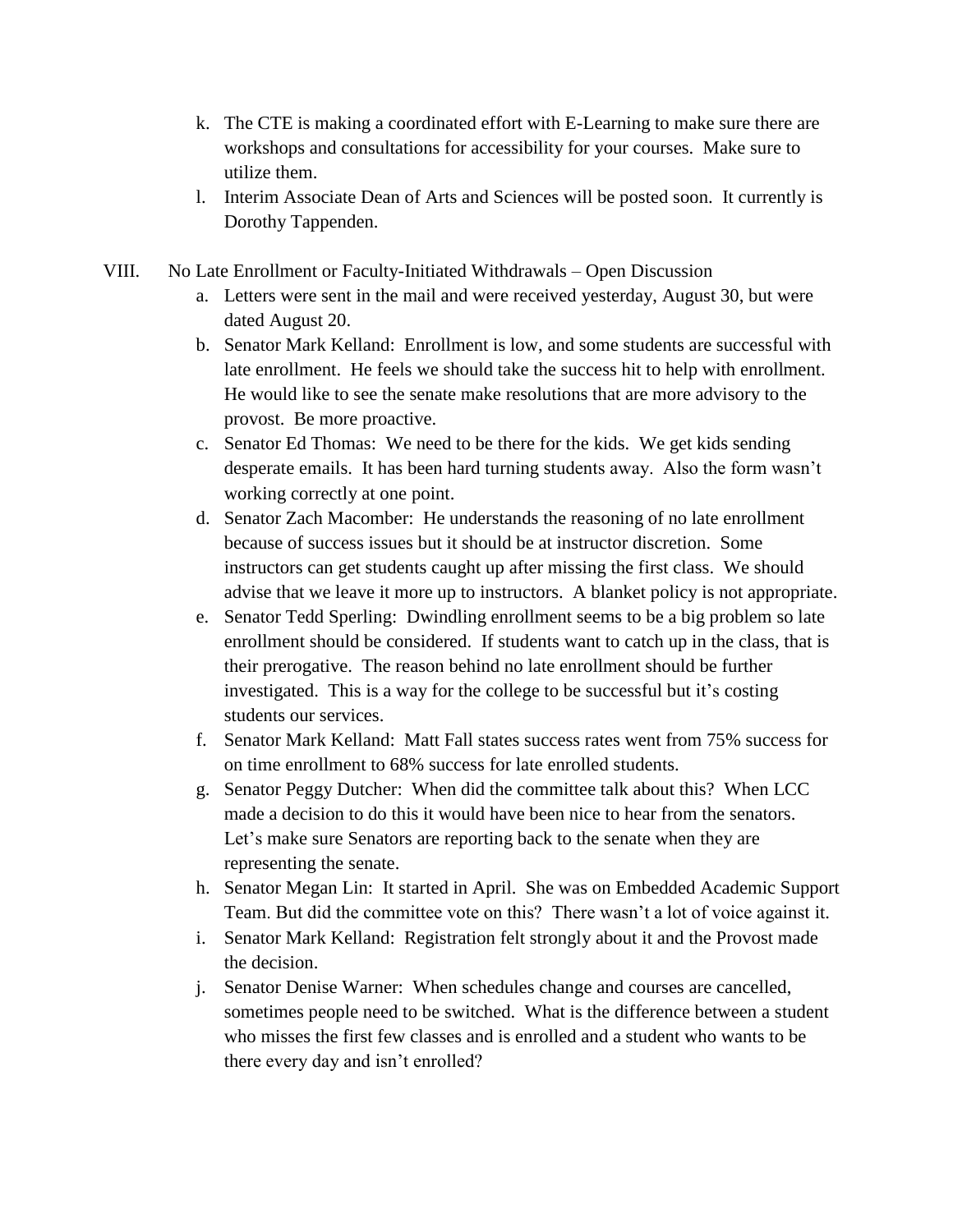- k. The CTE is making a coordinated effort with E-Learning to make sure there are workshops and consultations for accessibility for your courses. Make sure to utilize them.
- l. Interim Associate Dean of Arts and Sciences will be posted soon. It currently is Dorothy Tappenden.
- VIII. No Late Enrollment or Faculty-Initiated Withdrawals Open Discussion
	- a. Letters were sent in the mail and were received yesterday, August 30, but were dated August 20.
	- b. Senator Mark Kelland: Enrollment is low, and some students are successful with late enrollment. He feels we should take the success hit to help with enrollment. He would like to see the senate make resolutions that are more advisory to the provost. Be more proactive.
	- c. Senator Ed Thomas: We need to be there for the kids. We get kids sending desperate emails. It has been hard turning students away. Also the form wasn't working correctly at one point.
	- d. Senator Zach Macomber: He understands the reasoning of no late enrollment because of success issues but it should be at instructor discretion. Some instructors can get students caught up after missing the first class. We should advise that we leave it more up to instructors. A blanket policy is not appropriate.
	- e. Senator Tedd Sperling: Dwindling enrollment seems to be a big problem so late enrollment should be considered. If students want to catch up in the class, that is their prerogative. The reason behind no late enrollment should be further investigated. This is a way for the college to be successful but it's costing students our services.
	- f. Senator Mark Kelland: Matt Fall states success rates went from 75% success for on time enrollment to 68% success for late enrolled students.
	- g. Senator Peggy Dutcher: When did the committee talk about this? When LCC made a decision to do this it would have been nice to hear from the senators. Let's make sure Senators are reporting back to the senate when they are representing the senate.
	- h. Senator Megan Lin: It started in April. She was on Embedded Academic Support Team. But did the committee vote on this? There wasn't a lot of voice against it.
	- i. Senator Mark Kelland: Registration felt strongly about it and the Provost made the decision.
	- j. Senator Denise Warner: When schedules change and courses are cancelled, sometimes people need to be switched. What is the difference between a student who misses the first few classes and is enrolled and a student who wants to be there every day and isn't enrolled?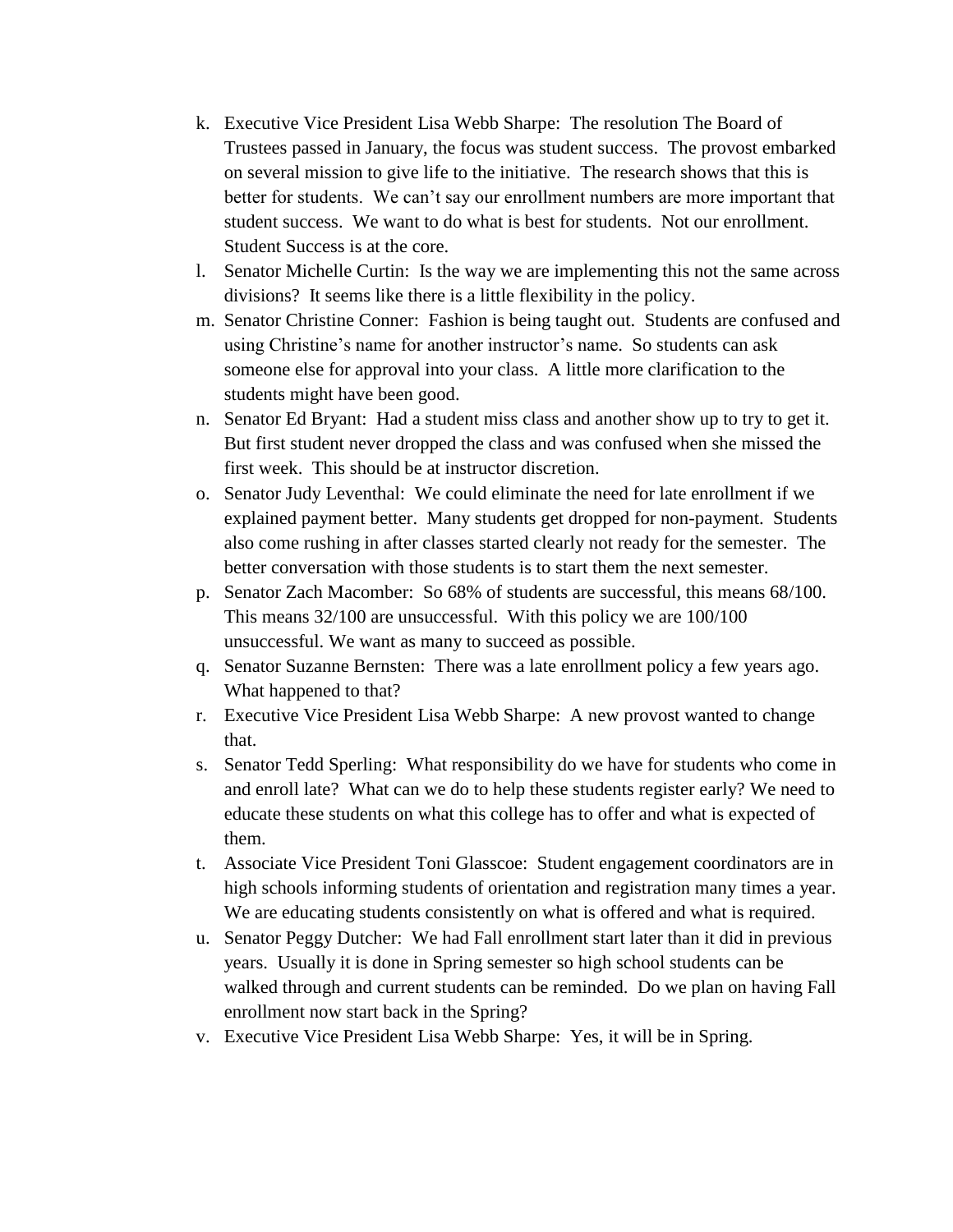- k. Executive Vice President Lisa Webb Sharpe: The resolution The Board of Trustees passed in January, the focus was student success. The provost embarked on several mission to give life to the initiative. The research shows that this is better for students. We can't say our enrollment numbers are more important that student success. We want to do what is best for students. Not our enrollment. Student Success is at the core.
- l. Senator Michelle Curtin: Is the way we are implementing this not the same across divisions? It seems like there is a little flexibility in the policy.
- m. Senator Christine Conner: Fashion is being taught out. Students are confused and using Christine's name for another instructor's name. So students can ask someone else for approval into your class. A little more clarification to the students might have been good.
- n. Senator Ed Bryant: Had a student miss class and another show up to try to get it. But first student never dropped the class and was confused when she missed the first week. This should be at instructor discretion.
- o. Senator Judy Leventhal: We could eliminate the need for late enrollment if we explained payment better. Many students get dropped for non-payment. Students also come rushing in after classes started clearly not ready for the semester. The better conversation with those students is to start them the next semester.
- p. Senator Zach Macomber: So 68% of students are successful, this means 68/100. This means 32/100 are unsuccessful. With this policy we are 100/100 unsuccessful. We want as many to succeed as possible.
- q. Senator Suzanne Bernsten: There was a late enrollment policy a few years ago. What happened to that?
- r. Executive Vice President Lisa Webb Sharpe: A new provost wanted to change that.
- s. Senator Tedd Sperling: What responsibility do we have for students who come in and enroll late? What can we do to help these students register early? We need to educate these students on what this college has to offer and what is expected of them.
- t. Associate Vice President Toni Glasscoe: Student engagement coordinators are in high schools informing students of orientation and registration many times a year. We are educating students consistently on what is offered and what is required.
- u. Senator Peggy Dutcher: We had Fall enrollment start later than it did in previous years. Usually it is done in Spring semester so high school students can be walked through and current students can be reminded. Do we plan on having Fall enrollment now start back in the Spring?
- v. Executive Vice President Lisa Webb Sharpe: Yes, it will be in Spring.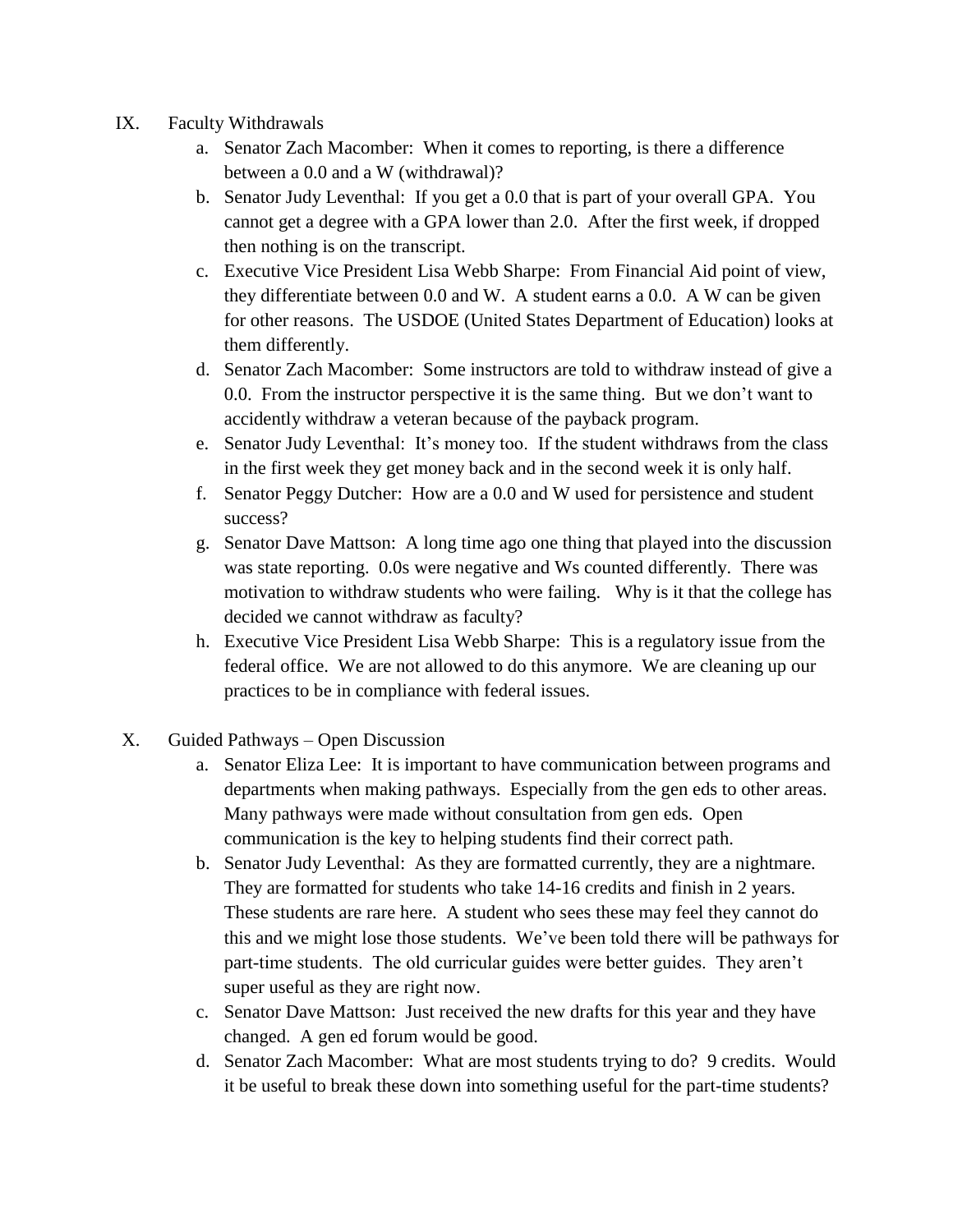- IX. Faculty Withdrawals
	- a. Senator Zach Macomber: When it comes to reporting, is there a difference between a 0.0 and a W (withdrawal)?
	- b. Senator Judy Leventhal: If you get a 0.0 that is part of your overall GPA. You cannot get a degree with a GPA lower than 2.0. After the first week, if dropped then nothing is on the transcript.
	- c. Executive Vice President Lisa Webb Sharpe: From Financial Aid point of view, they differentiate between 0.0 and W. A student earns a 0.0. A W can be given for other reasons. The USDOE (United States Department of Education) looks at them differently.
	- d. Senator Zach Macomber: Some instructors are told to withdraw instead of give a 0.0. From the instructor perspective it is the same thing. But we don't want to accidently withdraw a veteran because of the payback program.
	- e. Senator Judy Leventhal: It's money too. If the student withdraws from the class in the first week they get money back and in the second week it is only half.
	- f. Senator Peggy Dutcher: How are a 0.0 and W used for persistence and student success?
	- g. Senator Dave Mattson: A long time ago one thing that played into the discussion was state reporting. 0.0s were negative and Ws counted differently. There was motivation to withdraw students who were failing. Why is it that the college has decided we cannot withdraw as faculty?
	- h. Executive Vice President Lisa Webb Sharpe: This is a regulatory issue from the federal office. We are not allowed to do this anymore. We are cleaning up our practices to be in compliance with federal issues.
- X. Guided Pathways Open Discussion
	- a. Senator Eliza Lee: It is important to have communication between programs and departments when making pathways. Especially from the gen eds to other areas. Many pathways were made without consultation from gen eds. Open communication is the key to helping students find their correct path.
	- b. Senator Judy Leventhal: As they are formatted currently, they are a nightmare. They are formatted for students who take 14-16 credits and finish in 2 years. These students are rare here. A student who sees these may feel they cannot do this and we might lose those students. We've been told there will be pathways for part-time students. The old curricular guides were better guides. They aren't super useful as they are right now.
	- c. Senator Dave Mattson: Just received the new drafts for this year and they have changed. A gen ed forum would be good.
	- d. Senator Zach Macomber: What are most students trying to do? 9 credits. Would it be useful to break these down into something useful for the part-time students?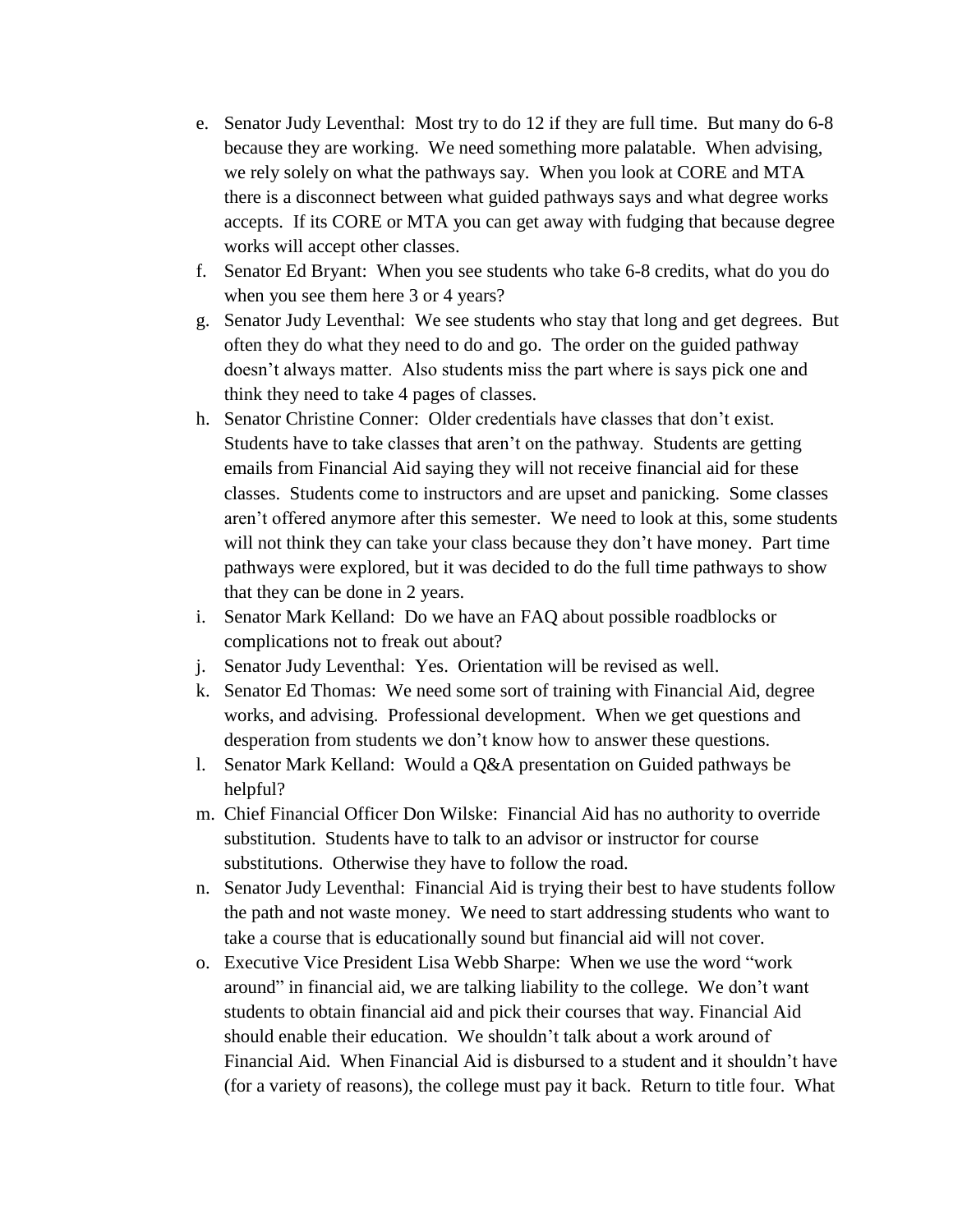- e. Senator Judy Leventhal: Most try to do 12 if they are full time. But many do 6-8 because they are working. We need something more palatable. When advising, we rely solely on what the pathways say. When you look at CORE and MTA there is a disconnect between what guided pathways says and what degree works accepts. If its CORE or MTA you can get away with fudging that because degree works will accept other classes.
- f. Senator Ed Bryant: When you see students who take 6-8 credits, what do you do when you see them here 3 or 4 years?
- g. Senator Judy Leventhal: We see students who stay that long and get degrees. But often they do what they need to do and go. The order on the guided pathway doesn't always matter. Also students miss the part where is says pick one and think they need to take 4 pages of classes.
- h. Senator Christine Conner: Older credentials have classes that don't exist. Students have to take classes that aren't on the pathway. Students are getting emails from Financial Aid saying they will not receive financial aid for these classes. Students come to instructors and are upset and panicking. Some classes aren't offered anymore after this semester. We need to look at this, some students will not think they can take your class because they don't have money. Part time pathways were explored, but it was decided to do the full time pathways to show that they can be done in 2 years.
- i. Senator Mark Kelland: Do we have an FAQ about possible roadblocks or complications not to freak out about?
- j. Senator Judy Leventhal: Yes. Orientation will be revised as well.
- k. Senator Ed Thomas: We need some sort of training with Financial Aid, degree works, and advising. Professional development. When we get questions and desperation from students we don't know how to answer these questions.
- l. Senator Mark Kelland: Would a Q&A presentation on Guided pathways be helpful?
- m. Chief Financial Officer Don Wilske: Financial Aid has no authority to override substitution. Students have to talk to an advisor or instructor for course substitutions. Otherwise they have to follow the road.
- n. Senator Judy Leventhal: Financial Aid is trying their best to have students follow the path and not waste money. We need to start addressing students who want to take a course that is educationally sound but financial aid will not cover.
- o. Executive Vice President Lisa Webb Sharpe: When we use the word "work around" in financial aid, we are talking liability to the college. We don't want students to obtain financial aid and pick their courses that way. Financial Aid should enable their education. We shouldn't talk about a work around of Financial Aid. When Financial Aid is disbursed to a student and it shouldn't have (for a variety of reasons), the college must pay it back. Return to title four. What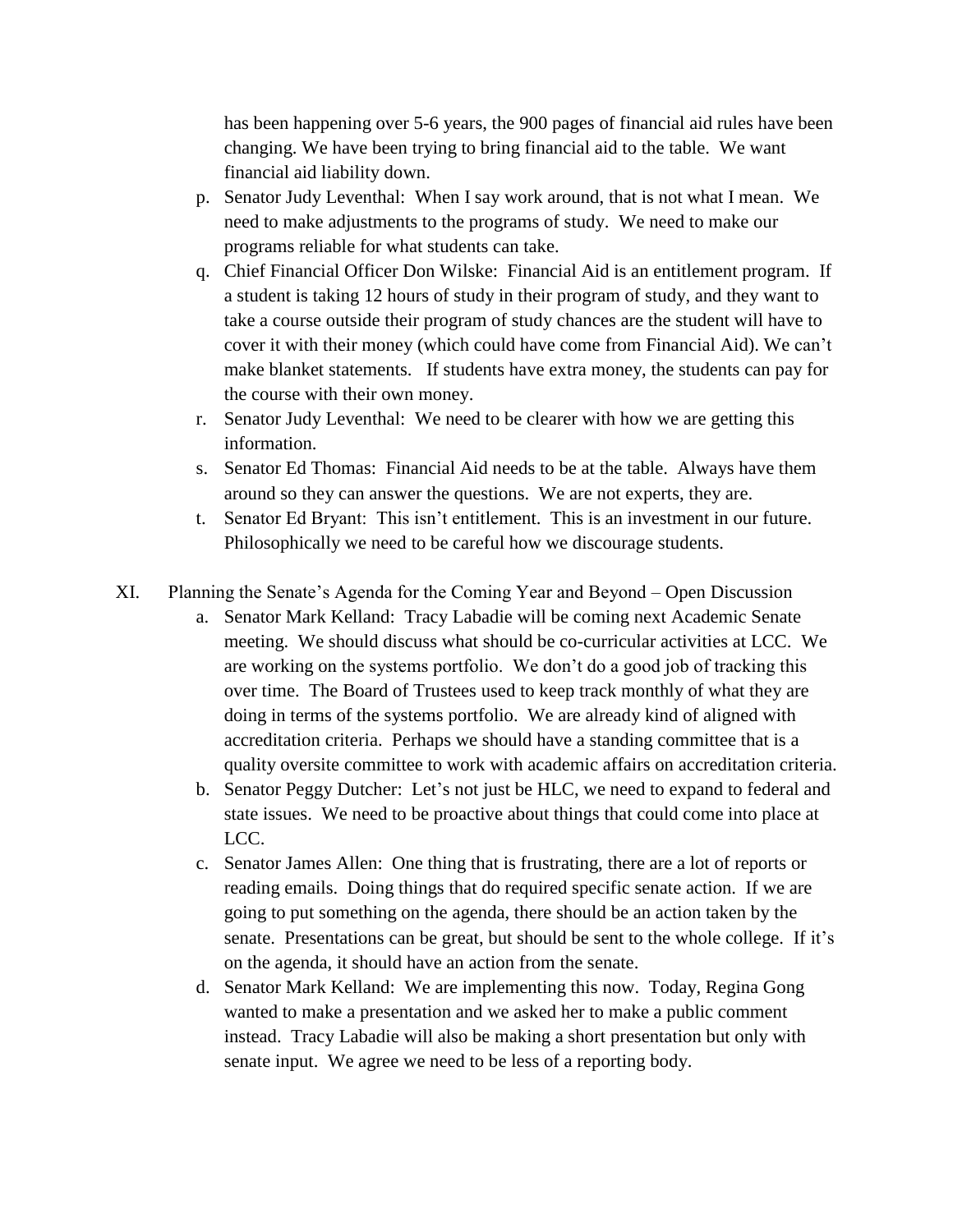has been happening over 5-6 years, the 900 pages of financial aid rules have been changing. We have been trying to bring financial aid to the table. We want financial aid liability down.

- p. Senator Judy Leventhal: When I say work around, that is not what I mean. We need to make adjustments to the programs of study. We need to make our programs reliable for what students can take.
- q. Chief Financial Officer Don Wilske: Financial Aid is an entitlement program. If a student is taking 12 hours of study in their program of study, and they want to take a course outside their program of study chances are the student will have to cover it with their money (which could have come from Financial Aid). We can't make blanket statements. If students have extra money, the students can pay for the course with their own money.
- r. Senator Judy Leventhal: We need to be clearer with how we are getting this information.
- s. Senator Ed Thomas: Financial Aid needs to be at the table. Always have them around so they can answer the questions. We are not experts, they are.
- t. Senator Ed Bryant: This isn't entitlement. This is an investment in our future. Philosophically we need to be careful how we discourage students.
- XI. Planning the Senate's Agenda for the Coming Year and Beyond Open Discussion
	- a. Senator Mark Kelland: Tracy Labadie will be coming next Academic Senate meeting. We should discuss what should be co-curricular activities at LCC. We are working on the systems portfolio. We don't do a good job of tracking this over time. The Board of Trustees used to keep track monthly of what they are doing in terms of the systems portfolio. We are already kind of aligned with accreditation criteria. Perhaps we should have a standing committee that is a quality oversite committee to work with academic affairs on accreditation criteria.
	- b. Senator Peggy Dutcher: Let's not just be HLC, we need to expand to federal and state issues. We need to be proactive about things that could come into place at LCC.
	- c. Senator James Allen: One thing that is frustrating, there are a lot of reports or reading emails. Doing things that do required specific senate action. If we are going to put something on the agenda, there should be an action taken by the senate. Presentations can be great, but should be sent to the whole college. If it's on the agenda, it should have an action from the senate.
	- d. Senator Mark Kelland: We are implementing this now. Today, Regina Gong wanted to make a presentation and we asked her to make a public comment instead. Tracy Labadie will also be making a short presentation but only with senate input. We agree we need to be less of a reporting body.